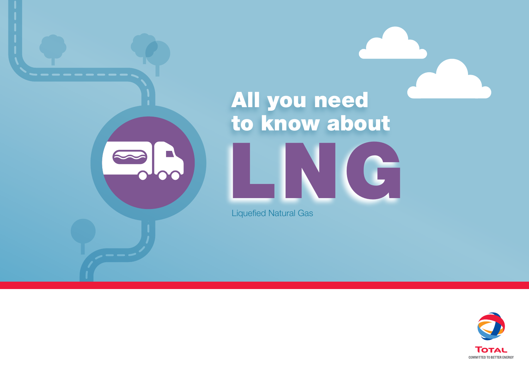# LING<sup></sup> All you need to know about

Liquefied Natural Gas

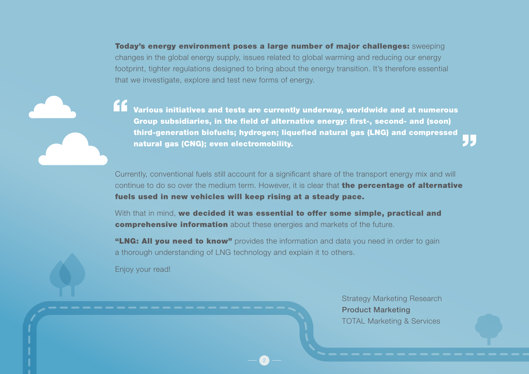Today's energy environment poses a large number of major challenges: sweeping changes in the global energy supply, issues related to global warming and reducing our energy footprint, tighter regulations designed to bring about the energy transition. It's therefore essential that we investigate, explore and test new forms of energy.

Various initiatives and tests are currently underway, worldwide and at numerous Group subsidiaries, in the field of alternative energy: first-, second- and (soon) third-generation biofuels; hydrogen; liquefied natural gas (LNG) and compressed natural gas (CNG); even electromobility.

Currently, conventional fuels still account for a significant share of the transport energy mix and will continue to do so over the medium term. However, it is clear that **the percentage of alternative** fuels used in new vehicles will keep rising at a steady pace.

With that in mind, we decided it was essential to offer some simple, practical and comprehensive information about these energies and markets of the future.

"LNG: All you need to know" provides the information and data you need in order to gain a thorough understanding of LNG technology and explain it to others.

2

Enjoy your read!

Strategy Marketing Research Product Marketing TOTAL Marketing & Services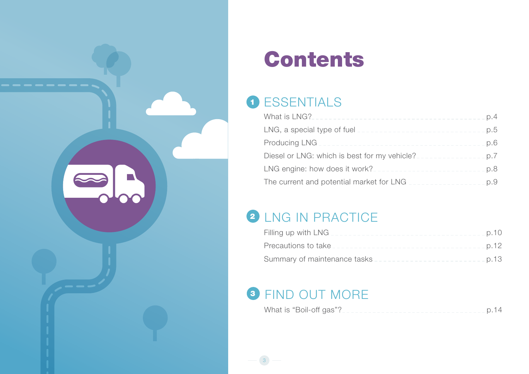

## Contents

### 1 ESSENTIALS

| LNG, a special type of fuel __________________________________p.5 |  |
|-------------------------------------------------------------------|--|
|                                                                   |  |
| Diesel or LNG: which is best for my vehicle?                      |  |
| LNG engine: how does it work?______________________________p.8    |  |
| The current and potential market for LNG                          |  |

### 2 LNG IN PRACTICE

| Summary of maintenance tasks _____________________________ p.13 |  |
|-----------------------------------------------------------------|--|

### <sup>3</sup> FIND OUT MORE

3

|--|--|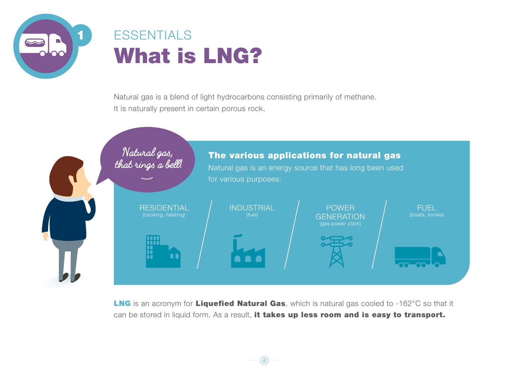<span id="page-3-0"></span>

### **ESSENTIALS** What is LNG?

Natural gas is a blend of light hydrocarbons consisting primarily of methane. It is naturally present in certain porous rock.



LNG is an acronym for Liquefied Natural Gas, which is natural gas cooled to -162°C so that it can be stored in liquid form. As a result, it takes up less room and is easy to transport.

4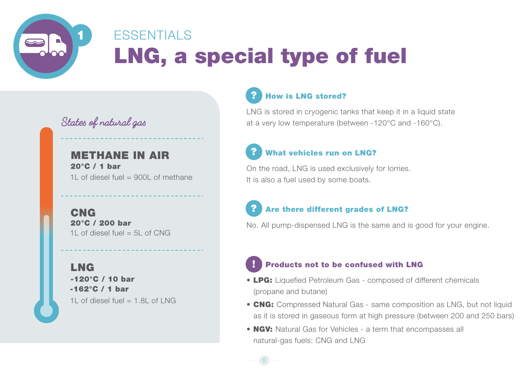<span id="page-4-0"></span>

### LNG, a special type of fuel **ESSENTIALS**

5

**States of natural gas**

METHANE IN AIR 20°C / 1 bar 1L of diesel fuel  $= 900$  of methane

CNG 20°C / 200 bar 1L of diesel fuel  $= 5$ L of CNG

**LNG** -120°C / 10 bar -162°C / 1 bar 1L of diesel fuel  $= 1.8$ L of LNG

#### ? How is LNG stored?

LNG is stored in cryogenic tanks that keep it in a liquid state at a very low temperature (between -120°C and -160°C).

### ? What vehicles run on LNG?

On the road, LNG is used exclusively for lorries. It is also a fuel used by some boats.

### ? Are there different grades of LNG?

No. All pump-dispensed LNG is the same and is good for your engine.

### **Products not to be confused with LNG**

- LPG: Liquefied Petroleum Gas composed of different chemicals (propane and butane)
- CNG: Compressed Natural Gas same composition as LNG, but not liquid as it is stored in gaseous form at high pressure (between 200 and 250 bars)
- NGV: Natural Gas for Vehicles a term that encompasses all natural-gas fuels: CNG and LNG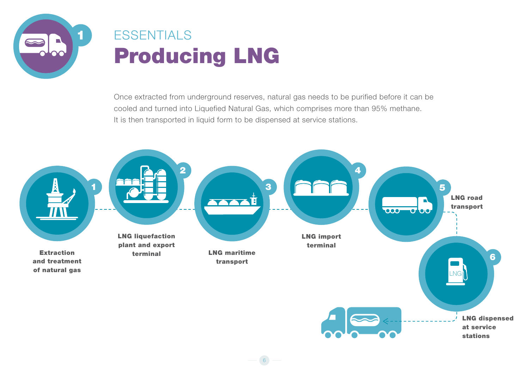<span id="page-5-0"></span>

### Producing LNG **ESSENTIALS**

Once extracted from underground reserves, natural gas needs to be purified before it can be cooled and turned into Liquefied Natural Gas, which comprises more than 95% methane. It is then transported in liquid form to be dispensed at service stations.



6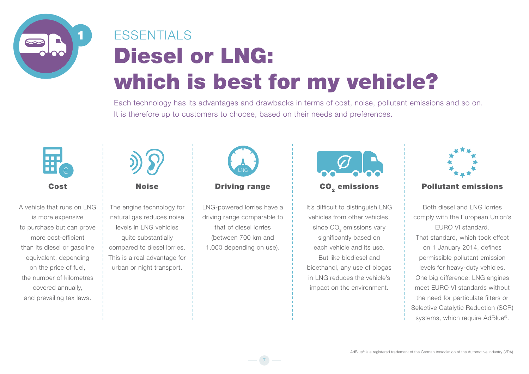<span id="page-6-0"></span>

## Diesel or LNG: which is best for my vehicle? **FSSENTIALS**

Each technology has its advantages and drawbacks in terms of cost, noise, pollutant emissions and so on. It is therefore up to customers to choose, based on their needs and preferences.



A vehicle that runs on LNG is more expensive to purchase but can prove more cost-efficient than its diesel or gasoline equivalent, depending on the price of fuel, the number of kilometres covered annually, and prevailing tax laws.



The engine technology for natural gas reduces noise levels in LNG vehicles quite substantially compared to diesel lorries. This is a real advantage for urban or night transport.



LNG-powered lorries have a driving range comparable to that of diesel lorries (between 700 km and 1,000 depending on use).

7



It's difficult to distinguish LNG vehicles from other vehicles, since CO<sub>2</sub> emissions vary significantly based on each vehicle and its use. But like biodiesel and bioethanol, any use of biogas

in LNG reduces the vehicle's impact on the environment.

#### Cost i Noise **Driving range i CO<sub>2</sub> emissions i Pollutant emissions**

Both diesel and LNG lorries comply with the European Union's EURO VI standard. That standard, which took effect on 1 January 2014, defines permissible pollutant emission levels for heavy-duty vehicles. One big difference: LNG engines meet EURO VI standards without the need for particulate filters or Selective Catalytic Reduction (SCR) systems, which require AdBlue®.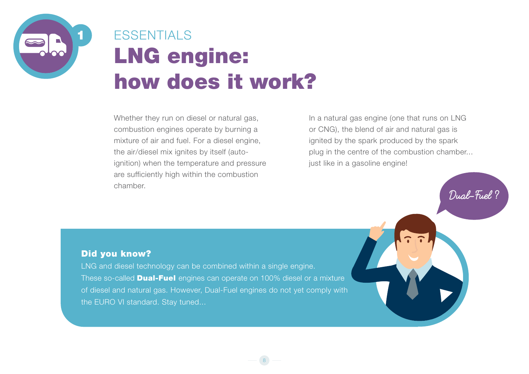<span id="page-7-0"></span>

## LNG engine: how does it work? **ESSENTIALS**

Whether they run on diesel or natural gas, combustion engines operate by burning a mixture of air and fuel. For a diesel engine, the air/diesel mix ignites by itself (autoignition) when the temperature and pressure are sufficiently high within the combustion chamber.

In a natural gas engine (one that runs on LNG or CNG), the blend of air and natural gas is ignited by the spark produced by the spark plug in the centre of the combustion chamber... just like in a gasoline engine!

**Dual-Fuel ?**

Did you know?

LNG and diesel technology can be combined within a single engine. These so-called **Dual-Fuel** engines can operate on 100% diesel or a mixture of diesel and natural gas. However, Dual-Fuel engines do not yet comply with the EURO VI standard. Stay tuned...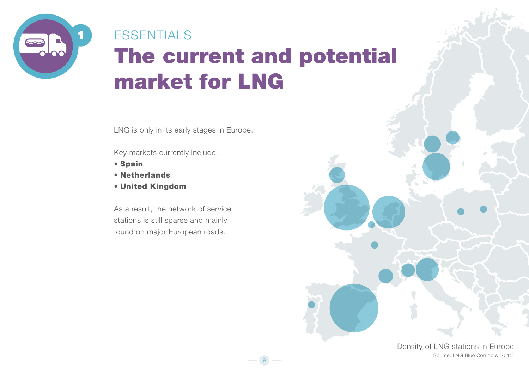<span id="page-8-0"></span>

## The current and potential market for LNG **ESSENTIALS**

9

LNG is only in its early stages in Europe.

Key markets currently include:

- Spain
- Netherlands
- United Kingdom

As a result, the network of service stations is still sparse and mainly found on major European roads.

> Density of LNG stations in Europe Source: LNG Blue Corridors (2015)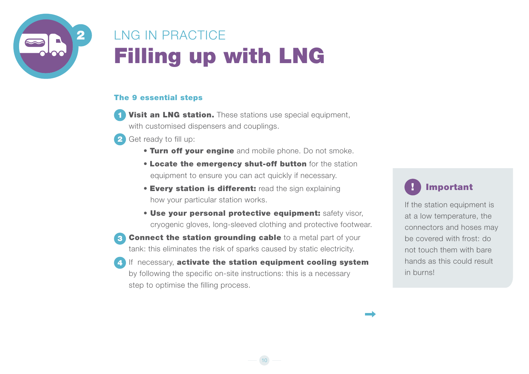<span id="page-9-0"></span>

### Filling up with LNG LNG IN PRACTICE

#### The 9 essential steps

- **Visit an LNG station.** These stations use special equipment, with customised dispensers and couplings. 1
- 2 Get ready to fill up:
	- **Turn off your engine** and mobile phone. Do not smoke.
	- Locate the emergency shut-off button for the station equipment to ensure you can act quickly if necessary.
	- **Every station is different:** read the sign explaining how your particular station works.
	- Use your personal protective equipment: safety visor, cryogenic gloves, long-sleeved clothing and protective footwear.

10

- **Connect the station grounding cable** to a metal part of your tank: this eliminates the risk of sparks caused by static electricity. 3
- If necessary, activate the station equipment cooling system by following the specific on-site instructions: this is a necessary step to optimise the filling process. 4



If the station equipment is at a low temperature, the connectors and hoses may be covered with frost: do not touch them with bare hands as this could result in burns!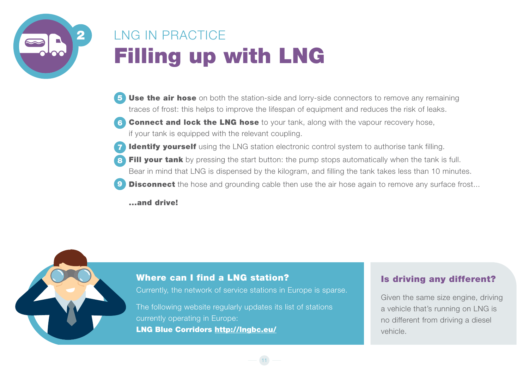

### LNG IN PRACTICE Filling up with LNG

- Use the air hose on both the station-side and lorry-side connectors to remove any remaining traces of frost: this helps to improve the lifespan of equipment and reduces the risk of leaks. 5
- **Connect and lock the LNG hose** to your tank, along with the vapour recovery hose, if your tank is equipped with the relevant coupling. 6
- **Identify yourself** using the LNG station electronic control system to authorise tank filling. 7
- Fill your tank by pressing the start button: the pump stops automatically when the tank is full. Bear in mind that LNG is dispensed by the kilogram, and filling the tank takes less than 10 minutes. 8
- **Disconnect** the hose and grounding cable then use the air hose again to remove any surface frost... 9

...and drive!

#### Where can I find a LNG station?

Currently, the network of service stations in Europe is sparse.

11

The following website regularly updates its list of stations currently operating in Europe: LNG Blue Corridors http://lngbc.eu/

#### Is driving any different?

Given the same size engine, driving a vehicle that's running on LNG is no different from driving a diesel vehicle.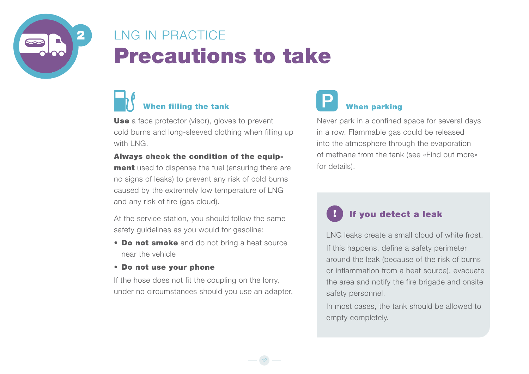<span id="page-11-0"></span>

### Precautions to take LNG IN PRACTICE

### When filling the tank When parking

**Use** a face protector (visor), gloves to prevent cold burns and long-sleeved clothing when filling up with LNG.

#### Always check the condition of the equip-

**ment** used to dispense the fuel (ensuring there are no signs of leaks) to prevent any risk of cold burns caused by the extremely low temperature of LNG and any risk of fire (gas cloud).

At the service station, you should follow the same safety quidelines as you would for gasoline:

• Do not smoke and do not bring a heat source near the vehicle

#### • Do not use your phone

If the hose does not fit the coupling on the lorry, under no circumstances should you use an adapter.

12



#### Never park in a confined space for several days in a row. Flammable gas could be released into the atmosphere through the evaporation of methane from the tank (see «Find out more» for details).

#### If you detect a leak

LNG leaks create a small cloud of white frost. If this happens, define a safety perimeter around the leak (because of the risk of burns or inflammation from a heat source), evacuate the area and notify the fire brigade and onsite safety personnel.

In most cases, the tank should be allowed to empty completely.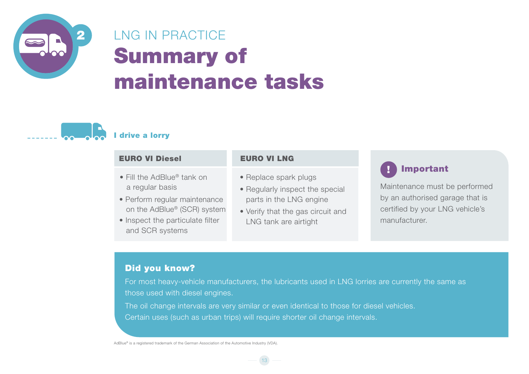<span id="page-12-0"></span>

### Summary of maintenance tasks LNG IN PRACTICE



#### I drive a lorry

| <b>EURO VI Diesel</b>                                                                                                                                                            | <b>EURO VI LNG</b>                                                                                                                                |                                                                                                                                   |
|----------------------------------------------------------------------------------------------------------------------------------------------------------------------------------|---------------------------------------------------------------------------------------------------------------------------------------------------|-----------------------------------------------------------------------------------------------------------------------------------|
| • Fill the AdBlue <sup>®</sup> tank on<br>a regular basis<br>• Perform regular maintenance<br>on the AdBlue® (SCR) system<br>• Inspect the particulate filter<br>and SCR systems | • Replace spark plugs<br>• Regularly inspect the special<br>parts in the LNG engine<br>• Verify that the gas circuit and<br>LNG tank are airtight | Important<br>Maintenance must be performed<br>by an authorised garage that is<br>certified by your LNG vehicle's<br>manufacturer. |

### Did you know?

For most heavy-vehicle manufacturers, the lubricants used in LNG lorries are currently the same as those used with diesel engines.

The oil change intervals are very similar or even identical to those for diesel vehicles. Certain uses (such as urban trips) will require shorter oil change intervals.

13

AdBlue® is a registered trademark of the German Association of the Automotive Industry (VDA).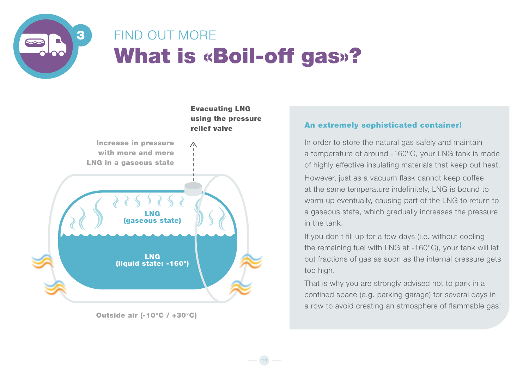<span id="page-13-0"></span>

### What is «Boil-off gas»? FIND OUT MORE

14



Outside air (-10°C / +30°C)

#### An extremely sophisticated container!

In order to store the natural gas safely and maintain a temperature of around -160°C, your LNG tank is made of highly effective insulating materials that keep out heat. However, just as a vacuum flask cannot keep coffee at the same temperature indefinitely, LNG is bound to warm up eventually, causing part of the LNG to return to a gaseous state, which gradually increases the pressure in the tank.

If you don't fill up for a few days (i.e. without cooling the remaining fuel with LNG at -160°C), your tank will let out fractions of gas as soon as the internal pressure gets too high.

That is why you are strongly advised not to park in a confined space (e.g. parking garage) for several days in a row to avoid creating an atmosphere of flammable gas!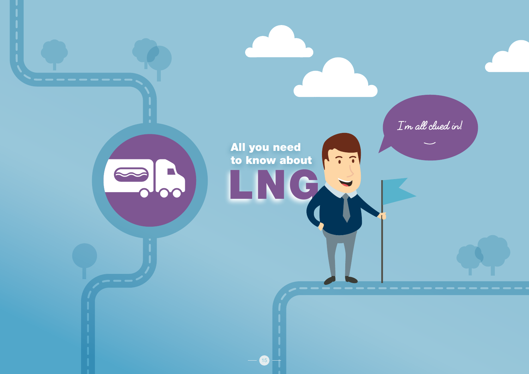